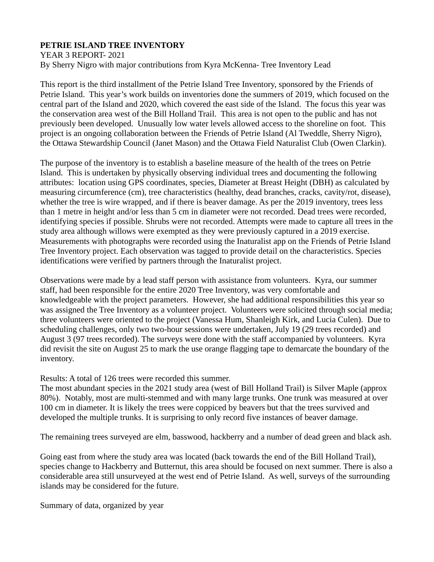## **PETRIE ISLAND TREE INVENTORY**

YEAR 3 REPORT- 2021 By Sherry Nigro with major contributions from Kyra McKenna- Tree Inventory Lead

This report is the third installment of the Petrie Island Tree Inventory, sponsored by the Friends of Petrie Island. This year's work builds on inventories done the summers of 2019, which focused on the central part of the Island and 2020, which covered the east side of the Island. The focus this year was the conservation area west of the Bill Holland Trail. This area is not open to the public and has not previously been developed. Unusually low water levels allowed access to the shoreline on foot. This project is an ongoing collaboration between the Friends of Petrie Island (Al Tweddle, Sherry Nigro), the Ottawa Stewardship Council (Janet Mason) and the Ottawa Field Naturalist Club (Owen Clarkin).

The purpose of the inventory is to establish a baseline measure of the health of the trees on Petrie Island. This is undertaken by physically observing individual trees and documenting the following attributes: location using GPS coordinates, species, Diameter at Breast Height (DBH) as calculated by measuring circumference (cm), tree characteristics (healthy, dead branches, cracks, cavity/rot, disease), whether the tree is wire wrapped, and if there is beaver damage. As per the 2019 inventory, trees less than 1 metre in height and/or less than 5 cm in diameter were not recorded. Dead trees were recorded, identifying species if possible. Shrubs were not recorded. Attempts were made to capture all trees in the study area although willows were exempted as they were previously captured in a 2019 exercise. Measurements with photographs were recorded using the Inaturalist app on the Friends of Petrie Island Tree Inventory project. Each observation was tagged to provide detail on the characteristics. Species identifications were verified by partners through the Inaturalist project.

Observations were made by a lead staff person with assistance from volunteers. Kyra, our summer staff, had been responsible for the entire 2020 Tree Inventory, was very comfortable and knowledgeable with the project parameters. However, she had additional responsibilities this year so was assigned the Tree Inventory as a volunteer project. Volunteers were solicited through social media; three volunteers were oriented to the project (Vanessa Hum, Shanleigh Kirk, and Lucia Culen). Due to scheduling challenges, only two two-hour sessions were undertaken, July 19 (29 trees recorded) and August 3 (97 trees recorded). The surveys were done with the staff accompanied by volunteers. Kyra did revisit the site on August 25 to mark the use orange flagging tape to demarcate the boundary of the inventory.

Results: A total of 126 trees were recorded this summer.

The most abundant species in the 2021 study area (west of Bill Holland Trail) is Silver Maple (approx 80%). Notably, most are multi-stemmed and with many large trunks. One trunk was measured at over 100 cm in diameter. It is likely the trees were coppiced by beavers but that the trees survived and developed the multiple trunks. It is surprising to only record five instances of beaver damage.

The remaining trees surveyed are elm, basswood, hackberry and a number of dead green and black ash.

Going east from where the study area was located (back towards the end of the Bill Holland Trail), species change to Hackberry and Butternut, this area should be focused on next summer. There is also a considerable area still unsurveyed at the west end of Petrie Island. As well, surveys of the surrounding islands may be considered for the future.

Summary of data, organized by year